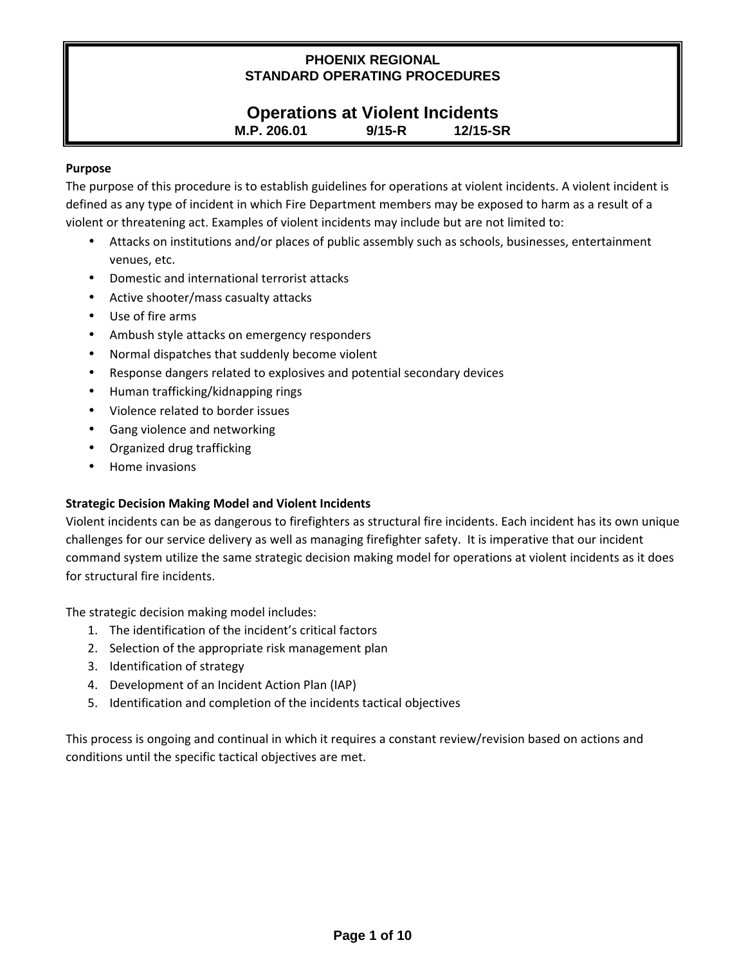## **Operations at Violent Incidents M.P. 206.01 9/15-R 12/15-SR**

#### **Purpose**

The purpose of this procedure is to establish guidelines for operations at violent incidents. A violent incident is defined as any type of incident in which Fire Department members may be exposed to harm as a result of a violent or threatening act. Examples of violent incidents may include but are not limited to:

- Attacks on institutions and/or places of public assembly such as schools, businesses, entertainment venues, etc.
- Domestic and international terrorist attacks
- Active shooter/mass casualty attacks
- Use of fire arms
- Ambush style attacks on emergency responders
- Normal dispatches that suddenly become violent
- Response dangers related to explosives and potential secondary devices
- Human trafficking/kidnapping rings
- Violence related to border issues
- Gang violence and networking
- Organized drug trafficking
- Home invasions

#### **Strategic Decision Making Model and Violent Incidents**

Violent incidents can be as dangerous to firefighters as structural fire incidents. Each incident has its own unique challenges for our service delivery as well as managing firefighter safety. It is imperative that our incident command system utilize the same strategic decision making model for operations at violent incidents as it does for structural fire incidents.

The strategic decision making model includes:

- 1. The identification of the incident's critical factors
- 2. Selection of the appropriate risk management plan
- 3. Identification of strategy
- 4. Development of an Incident Action Plan (IAP)
- 5. Identification and completion of the incidents tactical objectives

This process is ongoing and continual in which it requires a constant review/revision based on actions and conditions until the specific tactical objectives are met.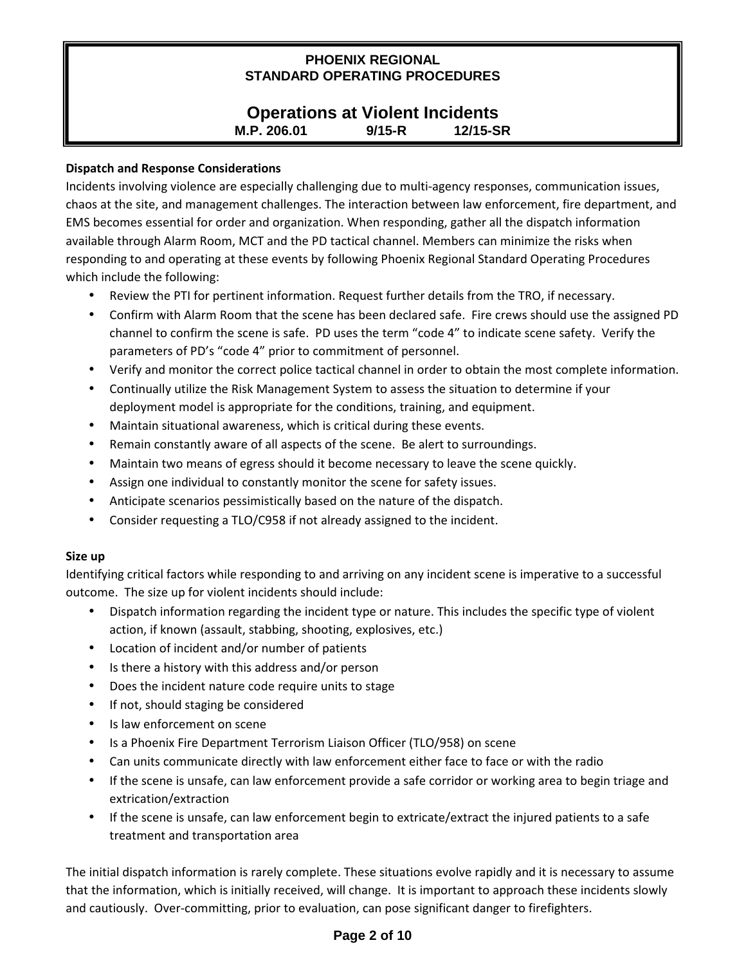## **Operations at Violent Incidents M.P. 206.01 9/15-R 12/15-SR**

#### **Dispatch and Response Considerations**

Incidents involving violence are especially challenging due to multi-agency responses, communication issues, chaos at the site, and management challenges. The interaction between law enforcement, fire department, and EMS becomes essential for order and organization. When responding, gather all the dispatch information available through Alarm Room, MCT and the PD tactical channel. Members can minimize the risks when responding to and operating at these events by following Phoenix Regional Standard Operating Procedures which include the following:

- Review the PTI for pertinent information. Request further details from the TRO, if necessary.
- Confirm with Alarm Room that the scene has been declared safe. Fire crews should use the assigned PD channel to confirm the scene is safe. PD uses the term "code 4" to indicate scene safety. Verify the parameters of PD's "code 4" prior to commitment of personnel.
- Verify and monitor the correct police tactical channel in order to obtain the most complete information.
- Continually utilize the Risk Management System to assess the situation to determine if your deployment model is appropriate for the conditions, training, and equipment.
- Maintain situational awareness, which is critical during these events.
- Remain constantly aware of all aspects of the scene. Be alert to surroundings.
- Maintain two means of egress should it become necessary to leave the scene quickly.
- Assign one individual to constantly monitor the scene for safety issues.
- Anticipate scenarios pessimistically based on the nature of the dispatch.
- Consider requesting a TLO/C958 if not already assigned to the incident.

#### **Size up**

Identifying critical factors while responding to and arriving on any incident scene is imperative to a successful outcome. The size up for violent incidents should include:

- Dispatch information regarding the incident type or nature. This includes the specific type of violent action, if known (assault, stabbing, shooting, explosives, etc.)
- Location of incident and/or number of patients
- Is there a history with this address and/or person
- Does the incident nature code require units to stage
- If not, should staging be considered
- Is law enforcement on scene
- Is a Phoenix Fire Department Terrorism Liaison Officer (TLO/958) on scene
- Can units communicate directly with law enforcement either face to face or with the radio
- If the scene is unsafe, can law enforcement provide a safe corridor or working area to begin triage and extrication/extraction
- If the scene is unsafe, can law enforcement begin to extricate/extract the injured patients to a safe treatment and transportation area

The initial dispatch information is rarely complete. These situations evolve rapidly and it is necessary to assume that the information, which is initially received, will change. It is important to approach these incidents slowly and cautiously. Over-committing, prior to evaluation, can pose significant danger to firefighters.

## **Page 2 of 10**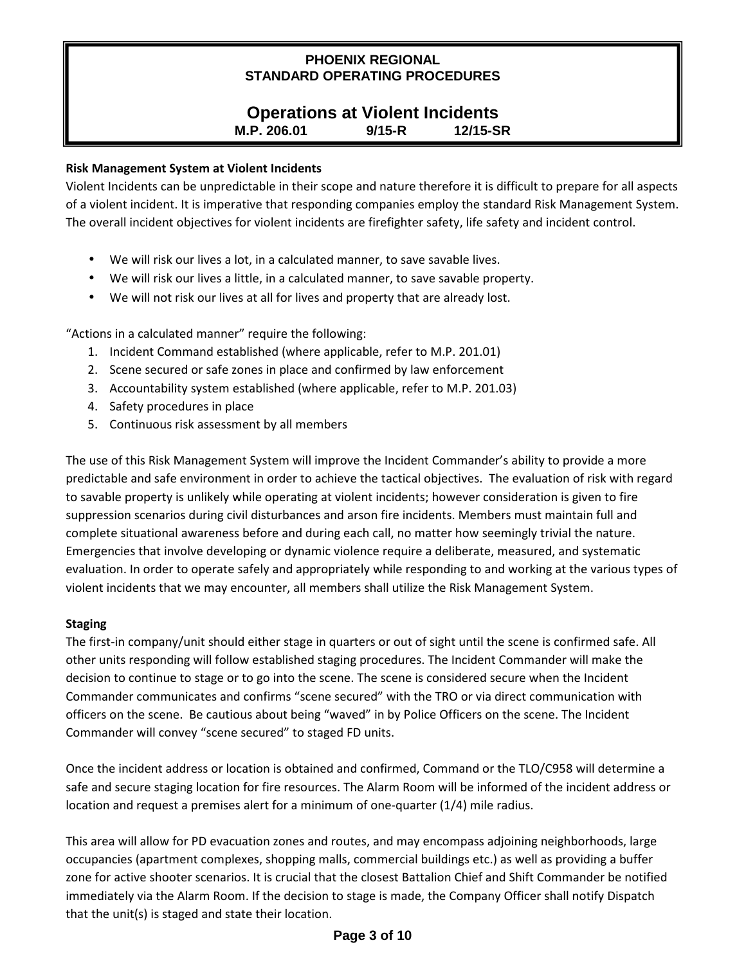## **Operations at Violent Incidents M.P. 206.01 9/15-R 12/15-SR**

#### **Risk Management System at Violent Incidents**

Violent Incidents can be unpredictable in their scope and nature therefore it is difficult to prepare for all aspects of a violent incident. It is imperative that responding companies employ the standard Risk Management System. The overall incident objectives for violent incidents are firefighter safety, life safety and incident control.

- We will risk our lives a lot, in a calculated manner, to save savable lives.
- We will risk our lives a little, in a calculated manner, to save savable property.
- We will not risk our lives at all for lives and property that are already lost.

"Actions in a calculated manner" require the following:

- 1. Incident Command established (where applicable, refer to M.P. 201.01)
- 2. Scene secured or safe zones in place and confirmed by law enforcement
- 3. Accountability system established (where applicable, refer to M.P. 201.03)
- 4. Safety procedures in place
- 5. Continuous risk assessment by all members

The use of this Risk Management System will improve the Incident Commander's ability to provide a more predictable and safe environment in order to achieve the tactical objectives. The evaluation of risk with regard to savable property is unlikely while operating at violent incidents; however consideration is given to fire suppression scenarios during civil disturbances and arson fire incidents. Members must maintain full and complete situational awareness before and during each call, no matter how seemingly trivial the nature. Emergencies that involve developing or dynamic violence require a deliberate, measured, and systematic evaluation. In order to operate safely and appropriately while responding to and working at the various types of violent incidents that we may encounter, all members shall utilize the Risk Management System.

#### **Staging**

The first-in company/unit should either stage in quarters or out of sight until the scene is confirmed safe. All other units responding will follow established staging procedures. The Incident Commander will make the decision to continue to stage or to go into the scene. The scene is considered secure when the Incident Commander communicates and confirms "scene secured" with the TRO or via direct communication with officers on the scene. Be cautious about being "waved" in by Police Officers on the scene. The Incident Commander will convey "scene secured" to staged FD units.

Once the incident address or location is obtained and confirmed, Command or the TLO/C958 will determine a safe and secure staging location for fire resources. The Alarm Room will be informed of the incident address or location and request a premises alert for a minimum of one-quarter (1/4) mile radius.

This area will allow for PD evacuation zones and routes, and may encompass adjoining neighborhoods, large occupancies (apartment complexes, shopping malls, commercial buildings etc.) as well as providing a buffer zone for active shooter scenarios. It is crucial that the closest Battalion Chief and Shift Commander be notified immediately via the Alarm Room. If the decision to stage is made, the Company Officer shall notify Dispatch that the unit(s) is staged and state their location.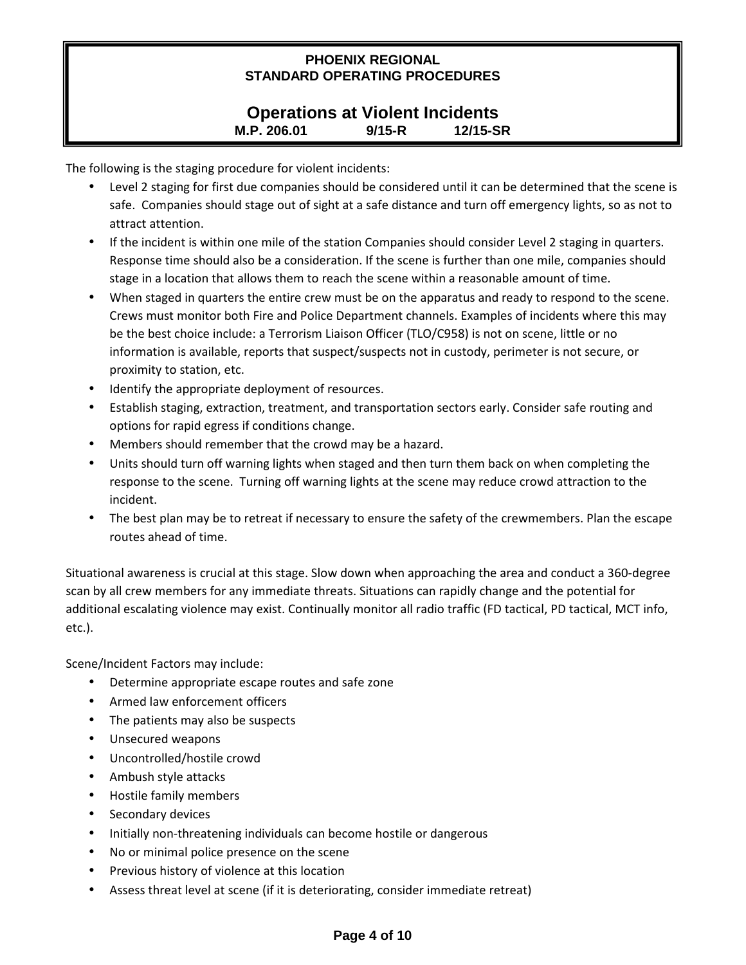# **Operations at Violent Incidents M.P. 206.01 9/15-R 12/15-SR**

The following is the staging procedure for violent incidents:

- Level 2 staging for first due companies should be considered until it can be determined that the scene is safe. Companies should stage out of sight at a safe distance and turn off emergency lights, so as not to attract attention.
- If the incident is within one mile of the station Companies should consider Level 2 staging in quarters. Response time should also be a consideration. If the scene is further than one mile, companies should stage in a location that allows them to reach the scene within a reasonable amount of time.
- When staged in quarters the entire crew must be on the apparatus and ready to respond to the scene. Crews must monitor both Fire and Police Department channels. Examples of incidents where this may be the best choice include: a Terrorism Liaison Officer (TLO/C958) is not on scene, little or no information is available, reports that suspect/suspects not in custody, perimeter is not secure, or proximity to station, etc.
- Identify the appropriate deployment of resources.
- Establish staging, extraction, treatment, and transportation sectors early. Consider safe routing and options for rapid egress if conditions change.
- Members should remember that the crowd may be a hazard.
- Units should turn off warning lights when staged and then turn them back on when completing the response to the scene. Turning off warning lights at the scene may reduce crowd attraction to the incident.
- The best plan may be to retreat if necessary to ensure the safety of the crewmembers. Plan the escape routes ahead of time.

Situational awareness is crucial at this stage. Slow down when approaching the area and conduct a 360-degree scan by all crew members for any immediate threats. Situations can rapidly change and the potential for additional escalating violence may exist. Continually monitor all radio traffic (FD tactical, PD tactical, MCT info, etc.).

Scene/Incident Factors may include:

- Determine appropriate escape routes and safe zone
- Armed law enforcement officers
- The patients may also be suspects
- Unsecured weapons
- Uncontrolled/hostile crowd
- Ambush style attacks
- Hostile family members
- Secondary devices
- Initially non-threatening individuals can become hostile or dangerous
- No or minimal police presence on the scene
- Previous history of violence at this location
- Assess threat level at scene (if it is deteriorating, consider immediate retreat)

## **Page 4 of 10**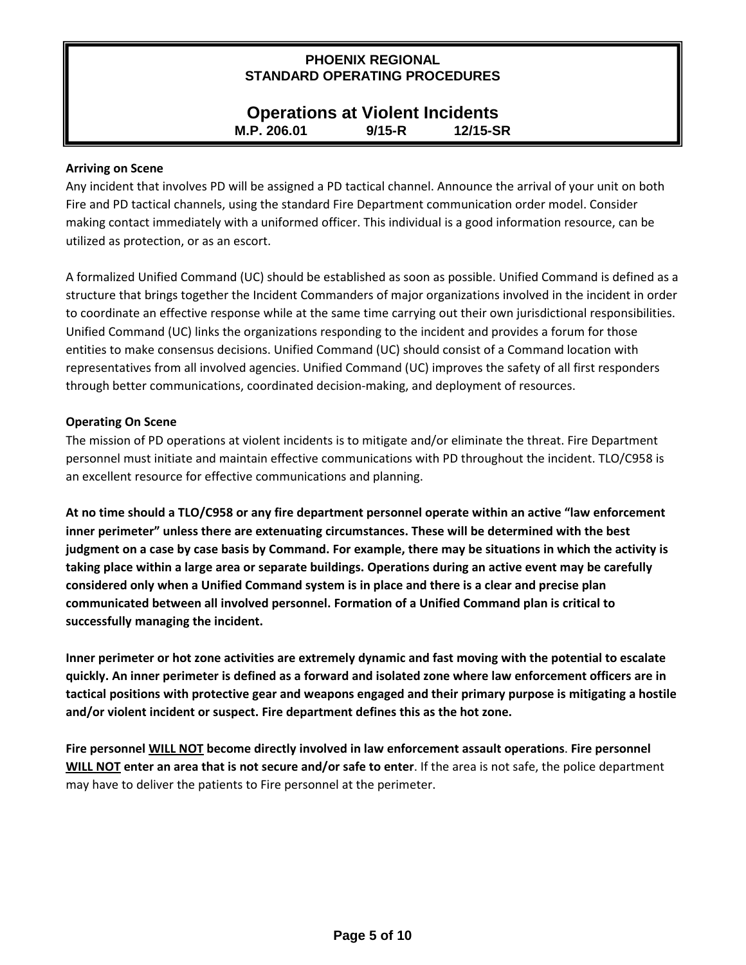# **Operations at Violent Incidents M.P. 206.01 9/15-R 12/15-SR**

#### **Arriving on Scene**

Any incident that involves PD will be assigned a PD tactical channel. Announce the arrival of your unit on both Fire and PD tactical channels, using the standard Fire Department communication order model. Consider making contact immediately with a uniformed officer. This individual is a good information resource, can be utilized as protection, or as an escort.

A formalized Unified Command (UC) should be established as soon as possible. Unified Command is defined as a structure that brings together the Incident Commanders of major organizations involved in the incident in order to coordinate an effective response while at the same time carrying out their own jurisdictional responsibilities. Unified Command (UC) links the organizations responding to the incident and provides a forum for those entities to make consensus decisions. Unified Command (UC) should consist of a Command location with representatives from all involved agencies. Unified Command (UC) improves the safety of all first responders through better communications, coordinated decision-making, and deployment of resources.

#### **Operating On Scene**

The mission of PD operations at violent incidents is to mitigate and/or eliminate the threat. Fire Department personnel must initiate and maintain effective communications with PD throughout the incident. TLO/C958 is an excellent resource for effective communications and planning.

**At no time should a TLO/C958 or any fire department personnel operate within an active "law enforcement inner perimeter" unless there are extenuating circumstances. These will be determined with the best judgment on a case by case basis by Command. For example, there may be situations in which the activity is taking place within a large area or separate buildings. Operations during an active event may be carefully considered only when a Unified Command system is in place and there is a clear and precise plan communicated between all involved personnel. Formation of a Unified Command plan is critical to successfully managing the incident.** 

**Inner perimeter or hot zone activities are extremely dynamic and fast moving with the potential to escalate quickly. An inner perimeter is defined as a forward and isolated zone where law enforcement officers are in tactical positions with protective gear and weapons engaged and their primary purpose is mitigating a hostile and/or violent incident or suspect. Fire department defines this as the hot zone.** 

**Fire personnel WILL NOT become directly involved in law enforcement assault operations**. **Fire personnel WILL NOT enter an area that is not secure and/or safe to enter**. If the area is not safe, the police department may have to deliver the patients to Fire personnel at the perimeter.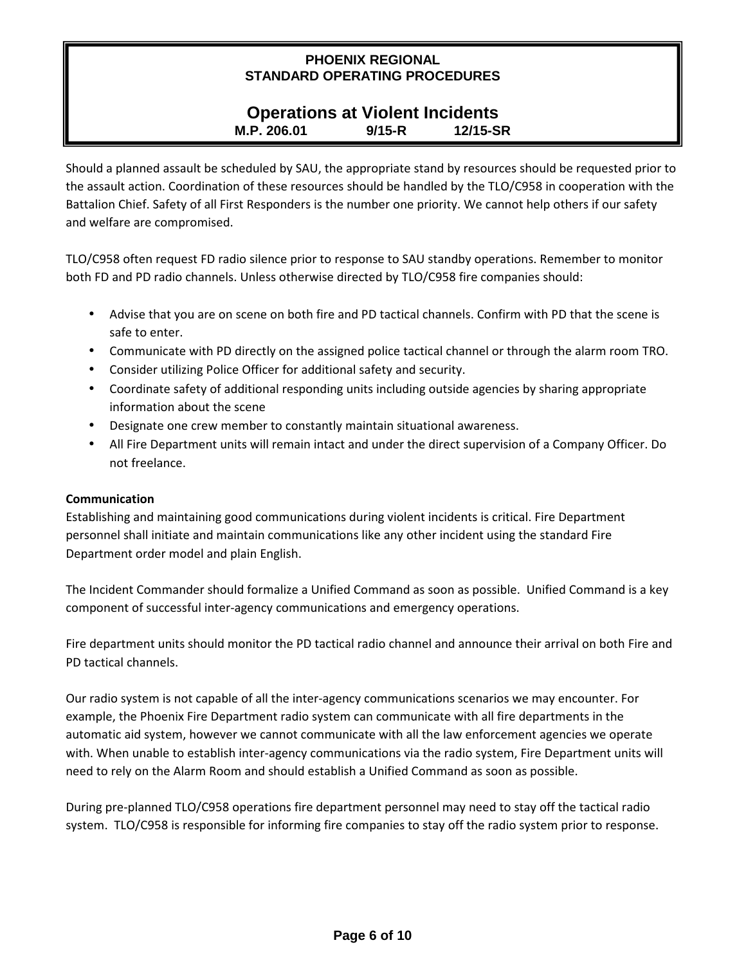# **Operations at Violent Incidents M.P. 206.01 9/15-R 12/15-SR**

Should a planned assault be scheduled by SAU, the appropriate stand by resources should be requested prior to the assault action. Coordination of these resources should be handled by the TLO/C958 in cooperation with the Battalion Chief. Safety of all First Responders is the number one priority. We cannot help others if our safety and welfare are compromised.

TLO/C958 often request FD radio silence prior to response to SAU standby operations. Remember to monitor both FD and PD radio channels. Unless otherwise directed by TLO/C958 fire companies should:

- Advise that you are on scene on both fire and PD tactical channels. Confirm with PD that the scene is safe to enter.
- Communicate with PD directly on the assigned police tactical channel or through the alarm room TRO.
- Consider utilizing Police Officer for additional safety and security.
- Coordinate safety of additional responding units including outside agencies by sharing appropriate information about the scene
- Designate one crew member to constantly maintain situational awareness.
- All Fire Department units will remain intact and under the direct supervision of a Company Officer. Do not freelance.

#### **Communication**

Establishing and maintaining good communications during violent incidents is critical. Fire Department personnel shall initiate and maintain communications like any other incident using the standard Fire Department order model and plain English.

The Incident Commander should formalize a Unified Command as soon as possible. Unified Command is a key component of successful inter-agency communications and emergency operations.

Fire department units should monitor the PD tactical radio channel and announce their arrival on both Fire and PD tactical channels.

Our radio system is not capable of all the inter-agency communications scenarios we may encounter. For example, the Phoenix Fire Department radio system can communicate with all fire departments in the automatic aid system, however we cannot communicate with all the law enforcement agencies we operate with. When unable to establish inter-agency communications via the radio system, Fire Department units will need to rely on the Alarm Room and should establish a Unified Command as soon as possible.

During pre-planned TLO/C958 operations fire department personnel may need to stay off the tactical radio system. TLO/C958 is responsible for informing fire companies to stay off the radio system prior to response.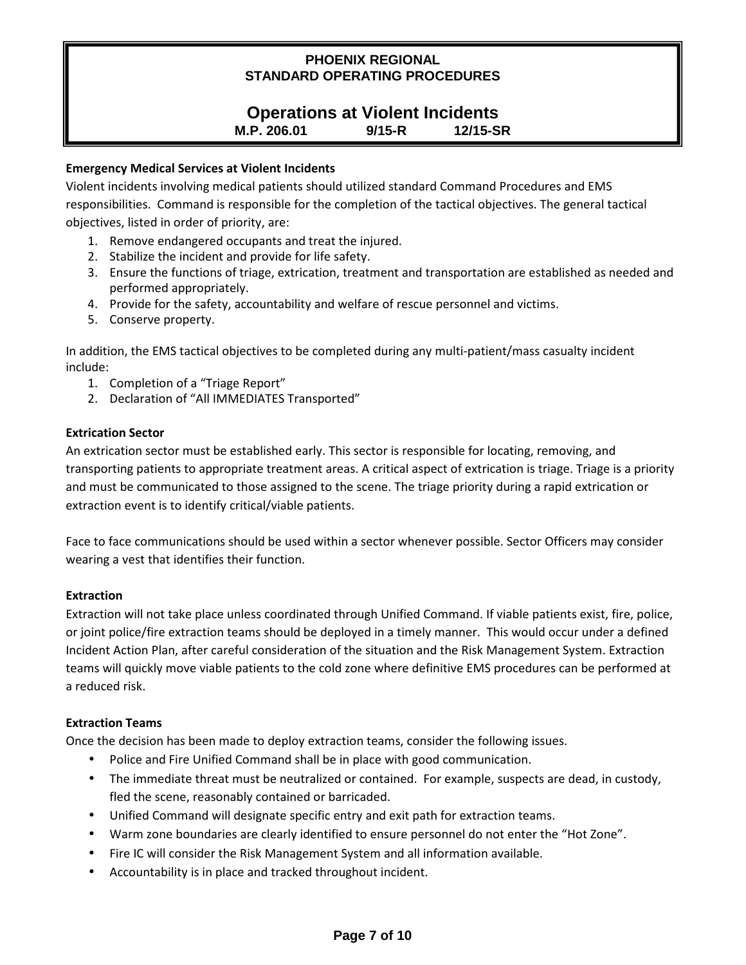#### **Operations at Violent Incidents M.P. 206.01 9/15-R 12/15-SR**

## **Emergency Medical Services at Violent Incidents**

Violent incidents involving medical patients should utilized standard Command Procedures and EMS responsibilities. Command is responsible for the completion of the tactical objectives. The general tactical objectives, listed in order of priority, are:

- 1. Remove endangered occupants and treat the injured.
- 2. Stabilize the incident and provide for life safety.
- 3. Ensure the functions of triage, extrication, treatment and transportation are established as needed and performed appropriately.
- 4. Provide for the safety, accountability and welfare of rescue personnel and victims.
- 5. Conserve property.

In addition, the EMS tactical objectives to be completed during any multi-patient/mass casualty incident include:

- 1. Completion of a "Triage Report"
- 2. Declaration of "All IMMEDIATES Transported"

## **Extrication Sector**

An extrication sector must be established early. This sector is responsible for locating, removing, and transporting patients to appropriate treatment areas. A critical aspect of extrication is triage. Triage is a priority and must be communicated to those assigned to the scene. The triage priority during a rapid extrication or extraction event is to identify critical/viable patients.

Face to face communications should be used within a sector whenever possible. Sector Officers may consider wearing a vest that identifies their function.

## **Extraction**

Extraction will not take place unless coordinated through Unified Command. If viable patients exist, fire, police, or joint police/fire extraction teams should be deployed in a timely manner. This would occur under a defined Incident Action Plan, after careful consideration of the situation and the Risk Management System. Extraction teams will quickly move viable patients to the cold zone where definitive EMS procedures can be performed at a reduced risk.

## **Extraction Teams**

Once the decision has been made to deploy extraction teams, consider the following issues.

- Police and Fire Unified Command shall be in place with good communication.
- The immediate threat must be neutralized or contained. For example, suspects are dead, in custody, fled the scene, reasonably contained or barricaded.
- Unified Command will designate specific entry and exit path for extraction teams.
- Warm zone boundaries are clearly identified to ensure personnel do not enter the "Hot Zone".
- Fire IC will consider the Risk Management System and all information available.
- Accountability is in place and tracked throughout incident.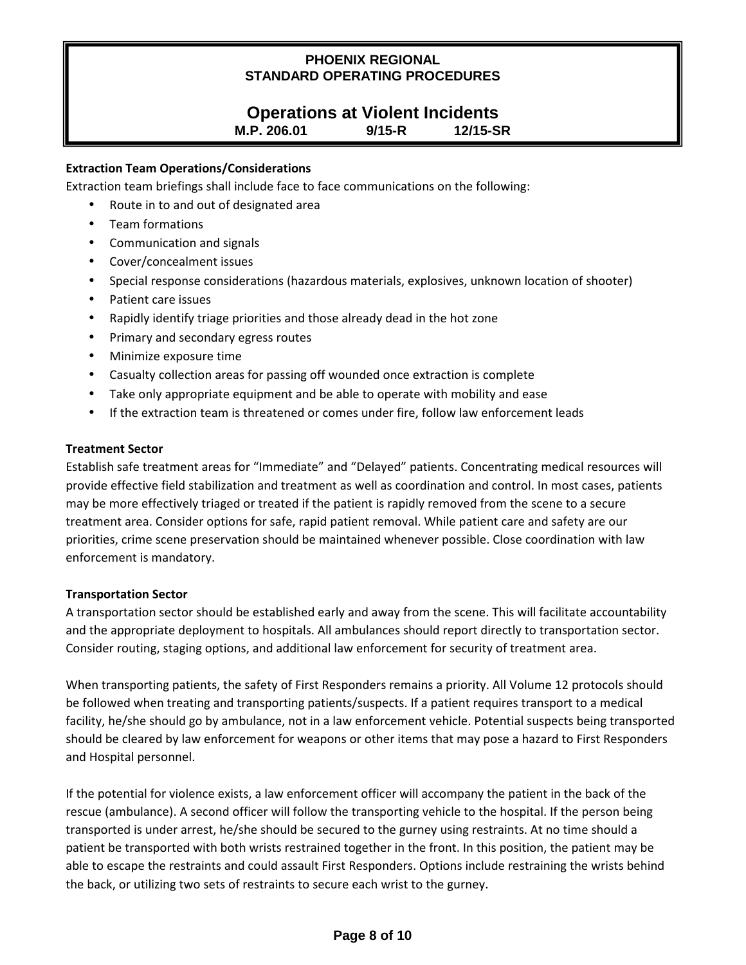# **Operations at Violent Incidents**

**M.P. 206.01 9/15-R 12/15-SR**

#### **Extraction Team Operations/Considerations**

Extraction team briefings shall include face to face communications on the following:

- Route in to and out of designated area
- Team formations
- Communication and signals
- Cover/concealment issues
- Special response considerations (hazardous materials, explosives, unknown location of shooter)
- Patient care issues
- Rapidly identify triage priorities and those already dead in the hot zone
- Primary and secondary egress routes
- Minimize exposure time
- Casualty collection areas for passing off wounded once extraction is complete
- Take only appropriate equipment and be able to operate with mobility and ease
- If the extraction team is threatened or comes under fire, follow law enforcement leads

#### **Treatment Sector**

Establish safe treatment areas for "Immediate" and "Delayed" patients. Concentrating medical resources will provide effective field stabilization and treatment as well as coordination and control. In most cases, patients may be more effectively triaged or treated if the patient is rapidly removed from the scene to a secure treatment area. Consider options for safe, rapid patient removal. While patient care and safety are our priorities, crime scene preservation should be maintained whenever possible. Close coordination with law enforcement is mandatory.

#### **Transportation Sector**

A transportation sector should be established early and away from the scene. This will facilitate accountability and the appropriate deployment to hospitals. All ambulances should report directly to transportation sector. Consider routing, staging options, and additional law enforcement for security of treatment area.

When transporting patients, the safety of First Responders remains a priority. All Volume 12 protocols should be followed when treating and transporting patients/suspects. If a patient requires transport to a medical facility, he/she should go by ambulance, not in a law enforcement vehicle. Potential suspects being transported should be cleared by law enforcement for weapons or other items that may pose a hazard to First Responders and Hospital personnel.

If the potential for violence exists, a law enforcement officer will accompany the patient in the back of the rescue (ambulance). A second officer will follow the transporting vehicle to the hospital. If the person being transported is under arrest, he/she should be secured to the gurney using restraints. At no time should a patient be transported with both wrists restrained together in the front. In this position, the patient may be able to escape the restraints and could assault First Responders. Options include restraining the wrists behind the back, or utilizing two sets of restraints to secure each wrist to the gurney.

## **Page 8 of 10**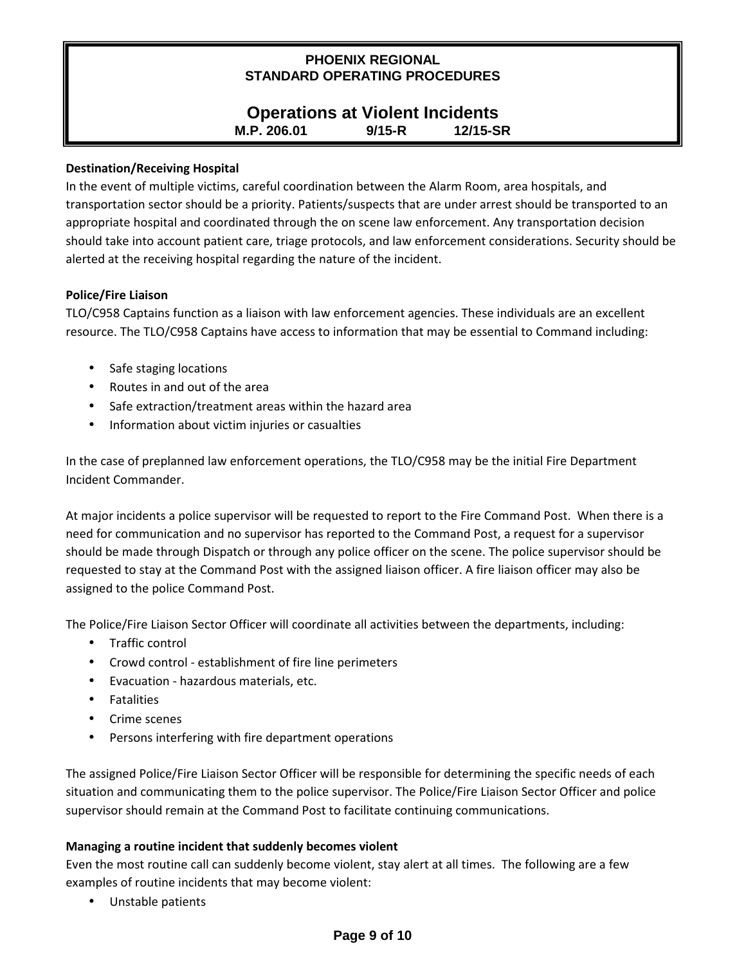# **Operations at Violent Incidents M.P. 206.01 9/15-R 12/15-SR**

#### **Destination/Receiving Hospital**

In the event of multiple victims, careful coordination between the Alarm Room, area hospitals, and transportation sector should be a priority. Patients/suspects that are under arrest should be transported to an appropriate hospital and coordinated through the on scene law enforcement. Any transportation decision should take into account patient care, triage protocols, and law enforcement considerations. Security should be alerted at the receiving hospital regarding the nature of the incident.

#### **Police/Fire Liaison**

TLO/C958 Captains function as a liaison with law enforcement agencies. These individuals are an excellent resource. The TLO/C958 Captains have access to information that may be essential to Command including:

- Safe staging locations
- Routes in and out of the area
- Safe extraction/treatment areas within the hazard area
- Information about victim injuries or casualties

In the case of preplanned law enforcement operations, the TLO/C958 may be the initial Fire Department Incident Commander.

At major incidents a police supervisor will be requested to report to the Fire Command Post. When there is a need for communication and no supervisor has reported to the Command Post, a request for a supervisor should be made through Dispatch or through any police officer on the scene. The police supervisor should be requested to stay at the Command Post with the assigned liaison officer. A fire liaison officer may also be assigned to the police Command Post.

The Police/Fire Liaison Sector Officer will coordinate all activities between the departments, including:

- Traffic control
- Crowd control establishment of fire line perimeters
- Evacuation hazardous materials, etc.
- Fatalities
- Crime scenes
- Persons interfering with fire department operations

The assigned Police/Fire Liaison Sector Officer will be responsible for determining the specific needs of each situation and communicating them to the police supervisor. The Police/Fire Liaison Sector Officer and police supervisor should remain at the Command Post to facilitate continuing communications.

## **Managing a routine incident that suddenly becomes violent**

Even the most routine call can suddenly become violent, stay alert at all times. The following are a few examples of routine incidents that may become violent:

• Unstable patients